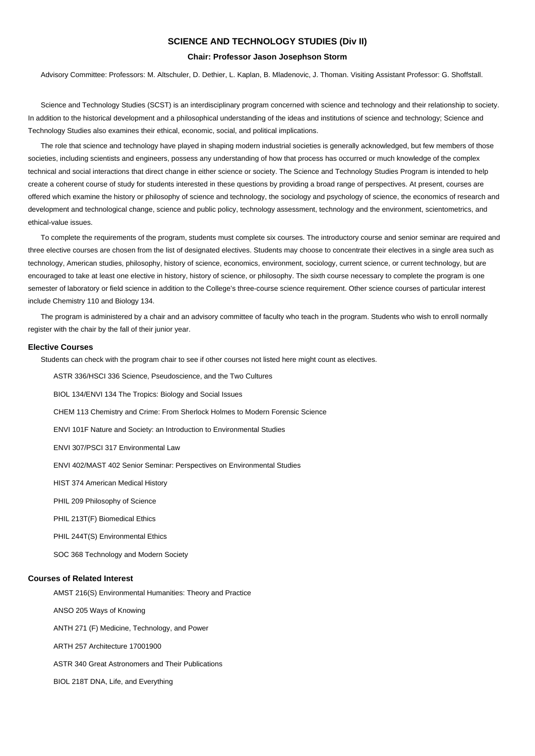#### **SCIENCE AND TECHNOLOGY STUDIES (Div II)**

#### **Chair: Professor Jason Josephson Storm**

Advisory Committee: Professors: M. Altschuler, D. Dethier, L. Kaplan, B. Mladenovic, J. Thoman. Visiting Assistant Professor: G. Shoffstall.

Science and Technology Studies (SCST) is an interdisciplinary program concerned with science and technology and their relationship to society. In addition to the historical development and a philosophical understanding of the ideas and institutions of science and technology; Science and Technology Studies also examines their ethical, economic, social, and political implications.

The role that science and technology have played in shaping modern industrial societies is generally acknowledged, but few members of those societies, including scientists and engineers, possess any understanding of how that process has occurred or much knowledge of the complex technical and social interactions that direct change in either science or society. The Science and Technology Studies Program is intended to help create a coherent course of study for students interested in these questions by providing a broad range of perspectives. At present, courses are offered which examine the history or philosophy of science and technology, the sociology and psychology of science, the economics of research and development and technological change, science and public policy, technology assessment, technology and the environment, scientometrics, and ethical-value issues.

To complete the requirements of the program, students must complete six courses. The introductory course and senior seminar are required and three elective courses are chosen from the list of designated electives. Students may choose to concentrate their electives in a single area such as technology, American studies, philosophy, history of science, economics, environment, sociology, current science, or current technology, but are encouraged to take at least one elective in history, history of science, or philosophy. The sixth course necessary to complete the program is one semester of laboratory or field science in addition to the College's three-course science requirement. Other science courses of particular interest include Chemistry 110 and Biology 134.

The program is administered by a chair and an advisory committee of faculty who teach in the program. Students who wish to enroll normally register with the chair by the fall of their junior year.

#### **Elective Courses**

Students can check with the program chair to see if other courses not listed here might count as electives.

ASTR 336/HSCI 336 Science, Pseudoscience, and the Two Cultures

BIOL 134/ENVI 134 The Tropics: Biology and Social Issues

CHEM 113 Chemistry and Crime: From Sherlock Holmes to Modern Forensic Science

ENVI 101F Nature and Society: an Introduction to Environmental Studies

ENVI 307/PSCI 317 Environmental Law

ENVI 402/MAST 402 Senior Seminar: Perspectives on Environmental Studies

HIST 374 American Medical History

PHIL 209 Philosophy of Science

PHIL 213T(F) Biomedical Ethics

PHIL 244T(S) Environmental Ethics

SOC 368 Technology and Modern Society

#### **Courses of Related Interest**

AMST 216(S) Environmental Humanities: Theory and Practice

ANSO 205 Ways of Knowing

ANTH 271 (F) Medicine, Technology, and Power

ARTH 257 Architecture 17001900

ASTR 340 Great Astronomers and Their Publications

BIOL 218T DNA, Life, and Everything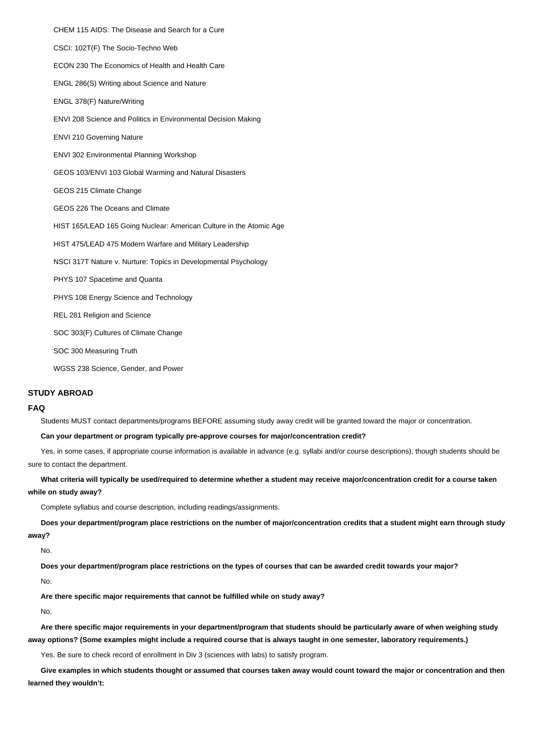CHEM 115 AIDS: The Disease and Search for a Cure CSCI: 102T(F) The Socio-Techno Web ECON 230 The Economics of Health and Health Care ENGL 286(S) Writing about Science and Nature ENGL 378(F) Nature/Writing ENVI 208 Science and Politics in Environmental Decision Making ENVI 210 Governing Nature ENVI 302 Environmental Planning Workshop GEOS 103/ENVI 103 Global Warming and Natural Disasters GEOS 215 Climate Change GEOS 226 The Oceans and Climate HIST 165/LEAD 165 Going Nuclear: American Culture in the Atomic Age HIST 475/LEAD 475 Modern Warfare and Military Leadership NSCI 317T Nature v. Nurture: Topics in Developmental Psychology PHYS 107 Spacetime and Quanta PHYS 108 Energy Science and Technology REL 281 Religion and Science SOC 303(F) Cultures of Climate Change SOC 300 Measuring Truth WGSS 238 Science, Gender, and Power

### **STUDY ABROAD**

#### **FAQ**

Students MUST contact departments/programs BEFORE assuming study away credit will be granted toward the major or concentration.

#### **Can your department or program typically pre-approve courses for major/concentration credit?**

Yes, in some cases, if appropriate course information is available in advance (e.g. syllabi and/or course descriptions), though students should be sure to contact the department.

**What criteria will typically be used/required to determine whether a student may receive major/concentration credit for a course taken while on study away?**

Complete syllabus and course description, including readings/assignments.

**Does your department/program place restrictions on the number of major/concentration credits that a student might earn through study away?**

#### No.

**Does your department/program place restrictions on the types of courses that can be awarded credit towards your major?**

#### No.

**Are there specific major requirements that cannot be fulfilled while on study away?**

#### No.

**Are there specific major requirements in your department/program that students should be particularly aware of when weighing study away options? (Some examples might include a required course that is always taught in one semester, laboratory requirements.)**

Yes. Be sure to check record of enrollment in Div 3 (sciences with labs) to satisfy program.

**Give examples in which students thought or assumed that courses taken away would count toward the major or concentration and then learned they wouldn't:**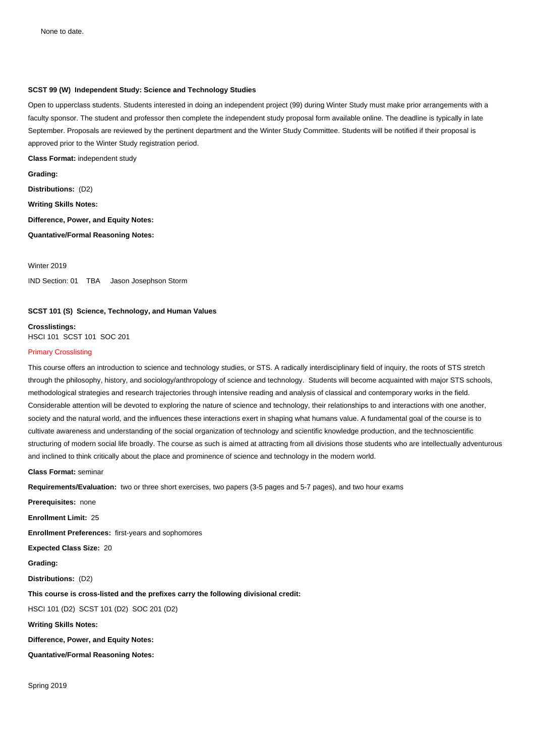# **SCST 99 (W) Independent Study: Science and Technology Studies**

Open to upperclass students. Students interested in doing an independent project (99) during Winter Study must make prior arrangements with a faculty sponsor. The student and professor then complete the independent study proposal form available online. The deadline is typically in late September. Proposals are reviewed by the pertinent department and the Winter Study Committee. Students will be notified if their proposal is approved prior to the Winter Study registration period.

**Class Format:** independent study

**Grading: Distributions:** (D2) **Writing Skills Notes: Difference, Power, and Equity Notes: Quantative/Formal Reasoning Notes:** 

IND Section: 01 TBA Jason Josephson Storm

# **SCST 101 (S) Science, Technology, and Human Values**

**Crosslistings:**  HSCI 101 SCST 101 SOC 201

# Primary Crosslisting

Winter 2019

This course offers an introduction to science and technology studies, or STS. A radically interdisciplinary field of inquiry, the roots of STS stretch through the philosophy, history, and sociology/anthropology of science and technology. Students will become acquainted with major STS schools, methodological strategies and research trajectories through intensive reading and analysis of classical and contemporary works in the field. Considerable attention will be devoted to exploring the nature of science and technology, their relationships to and interactions with one another, society and the natural world, and the influences these interactions exert in shaping what humans value. A fundamental goal of the course is to cultivate awareness and understanding of the social organization of technology and scientific knowledge production, and the technoscientific structuring of modern social life broadly. The course as such is aimed at attracting from all divisions those students who are intellectually adventurous and inclined to think critically about the place and prominence of science and technology in the modern world.

**Class Format:** seminar

**Requirements/Evaluation:** two or three short exercises, two papers (3-5 pages and 5-7 pages), and two hour exams

**Prerequisites:** none **Enrollment Limit:** 25

**Enrollment Preferences:** first-years and sophomores

**Expected Class Size:** 20

**Grading:** 

**Distributions:** (D2)

**This course is cross-listed and the prefixes carry the following divisional credit:**

HSCI 101 (D2) SCST 101 (D2) SOC 201 (D2)

**Writing Skills Notes:** 

**Difference, Power, and Equity Notes:** 

**Quantative/Formal Reasoning Notes:** 

Spring 2019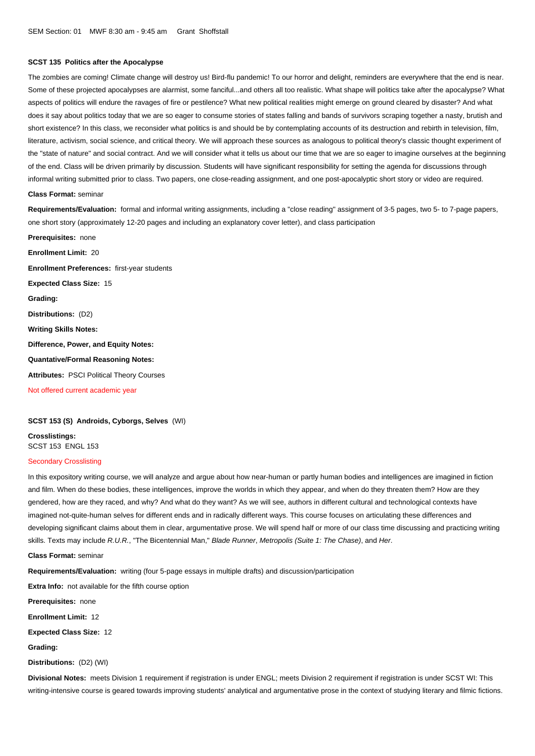### **SCST 135 Politics after the Apocalypse**

The zombies are coming! Climate change will destroy us! Bird-flu pandemic! To our horror and delight, reminders are everywhere that the end is near. Some of these projected apocalypses are alarmist, some fanciful...and others all too realistic. What shape will politics take after the apocalypse? What aspects of politics will endure the ravages of fire or pestilence? What new political realities might emerge on ground cleared by disaster? And what does it say about politics today that we are so eager to consume stories of states falling and bands of survivors scraping together a nasty, brutish and short existence? In this class, we reconsider what politics is and should be by contemplating accounts of its destruction and rebirth in television, film, literature, activism, social science, and critical theory. We will approach these sources as analogous to political theory's classic thought experiment of the "state of nature" and social contract. And we will consider what it tells us about our time that we are so eager to imagine ourselves at the beginning of the end. Class will be driven primarily by discussion. Students will have significant responsibility for setting the agenda for discussions through informal writing submitted prior to class. Two papers, one close-reading assignment, and one post-apocalyptic short story or video are required.

#### **Class Format:** seminar

**Requirements/Evaluation:** formal and informal writing assignments, including a "close reading" assignment of 3-5 pages, two 5- to 7-page papers, one short story (approximately 12-20 pages and including an explanatory cover letter), and class participation

**Prerequisites:** none **Enrollment Limit:** 20 **Enrollment Preferences:** first-year students **Expected Class Size:** 15 **Grading: Distributions:** (D2) **Writing Skills Notes: Difference, Power, and Equity Notes: Quantative/Formal Reasoning Notes: Attributes:** PSCI Political Theory Courses Not offered current academic year

**SCST 153 (S) Androids, Cyborgs, Selves** (WI)

**Crosslistings:**  SCST 153 ENGL 153

# Secondary Crosslisting

In this expository writing course, we will analyze and argue about how near-human or partly human bodies and intelligences are imagined in fiction and film. When do these bodies, these intelligences, improve the worlds in which they appear, and when do they threaten them? How are they gendered, how are they raced, and why? And what do they want? As we will see, authors in different cultural and technological contexts have imagined not-quite-human selves for different ends and in radically different ways. This course focuses on articulating these differences and developing significant claims about them in clear, argumentative prose. We will spend half or more of our class time discussing and practicing writing skills. Texts may include *R.U.R*., "The Bicentennial Man," *Blade Runner, Metropolis (Suite 1: The Chase),* and *Her.*<br>.

**Class Format:** seminar

**Requirements/Evaluation:** writing (four 5-page essays in multiple drafts) and discussion/participation

**Extra Info:** not available for the fifth course option

**Prerequisites:** none

**Enrollment Limit:** 12

**Expected Class Size:** 12

**Grading:** 

**Distributions:** (D2) (WI)

**Divisional Notes:** meets Division 1 requirement if registration is under ENGL; meets Division 2 requirement if registration is under SCST WI: This writing-intensive course is geared towards improving students' analytical and argumentative prose in the context of studying literary and filmic fictions.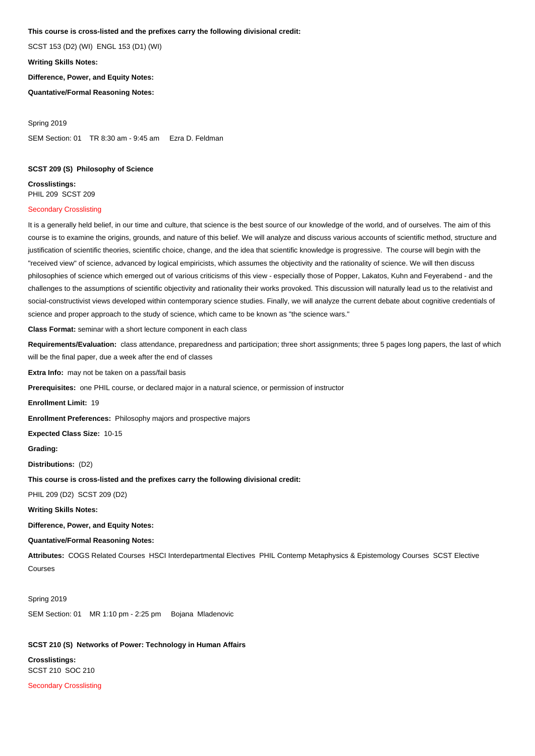# **This course is cross-listed and the prefixes carry the following divisional credit:**

SCST 153 (D2) (WI) ENGL 153 (D1) (WI)

**Writing Skills Notes:** 

**Difference, Power, and Equity Notes:** 

**Quantative/Formal Reasoning Notes:** 

Spring 2019 SEM Section: 01 TR 8:30 am - 9:45 am Ezra D. Feldman

# **SCST 209 (S) Philosophy of Science**

**Crosslistings:**  PHIL 209 SCST 209

# Secondary Crosslisting

It is a generally held belief, in our time and culture, that science is the best source of our knowledge of the world, and of ourselves. The aim of this course is to examine the origins, grounds, and nature of this belief. We will analyze and discuss various accounts of scientific method, structure and justification of scientific theories, scientific choice, change, and the idea that scientific knowledge is progressive. The course will begin with the "received view" of science, advanced by logical empiricists, which assumes the objectivity and the rationality of science. We will then discuss philosophies of science which emerged out of various criticisms of this view - especially those of Popper, Lakatos, Kuhn and Feyerabend - and the challenges to the assumptions of scientific objectivity and rationality their works provoked. This discussion will naturally lead us to the relativist and social-constructivist views developed within contemporary science studies. Finally, we will analyze the current debate about cognitive credentials of science and proper approach to the study of science, which came to be known as "the science wars."

**Class Format:** seminar with a short lecture component in each class

**Requirements/Evaluation:** class attendance, preparedness and participation; three short assignments; three 5 pages long papers, the last of which will be the final paper, due a week after the end of classes

**Extra Info:** may not be taken on a pass/fail basis

**Prerequisites:** one PHIL course, or declared major in a natural science, or permission of instructor

**Enrollment Limit:** 19

**Enrollment Preferences:** Philosophy majors and prospective majors

**Expected Class Size:** 10-15

**Grading:** 

**Distributions:** (D2)

**This course is cross-listed and the prefixes carry the following divisional credit:**

PHIL 209 (D2) SCST 209 (D2)

**Writing Skills Notes:** 

**Difference, Power, and Equity Notes:** 

**Quantative/Formal Reasoning Notes:** 

**Attributes:** COGS Related Courses HSCI Interdepartmental Electives PHIL Contemp Metaphysics & Epistemology Courses SCST Elective Courses

Spring 2019 SEM Section: 01 MR 1:10 pm - 2:25 pm Bojana Mladenovic

### **SCST 210 (S) Networks of Power: Technology in Human Affairs**

**Crosslistings:**  SCST 210 SOC 210 Secondary Crosslisting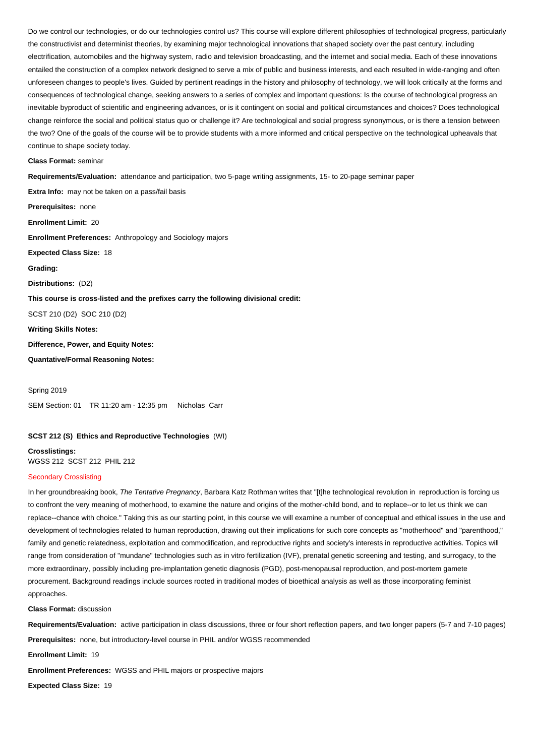Do we control our technologies, or do our technologies control us? This course will explore different philosophies of technological progress, particularly the constructivist and determinist theories, by examining major technological innovations that shaped society over the past century, including electrification, automobiles and the highway system, radio and television broadcasting, and the internet and social media. Each of these innovations entailed the construction of a complex network designed to serve a mix of public and business interests, and each resulted in wide-ranging and often unforeseen changes to people's lives. Guided by pertinent readings in the history and philosophy of technology, we will look critically at the forms and consequences of technological change, seeking answers to a series of complex and important questions: Is the course of technological progress an inevitable byproduct of scientific and engineering advances, or is it contingent on social and political circumstances and choices? Does technological change reinforce the social and political status quo or challenge it? Are technological and social progress synonymous, or is there a tension between the two? One of the goals of the course will be to provide students with a more informed and critical perspective on the technological upheavals that continue to shape society today.

#### **Class Format:** seminar

**Requirements/Evaluation:** attendance and participation, two 5-page writing assignments, 15- to 20-page seminar paper

**Extra Info:** may not be taken on a pass/fail basis **Prerequisites:** none **Enrollment Limit:** 20 **Enrollment Preferences:** Anthropology and Sociology majors **Expected Class Size:** 18 **Grading: Distributions:** (D2) **This course is cross-listed and the prefixes carry the following divisional credit:** SCST 210 (D2) SOC 210 (D2) **Writing Skills Notes: Difference, Power, and Equity Notes: Quantative/Formal Reasoning Notes:** 

Spring 2019 SEM Section: 01 TR 11:20 am - 12:35 pm Nicholas Carr

### **SCST 212 (S) Ethics and Reproductive Technologies** (WI)

**Crosslistings:**  WGSS 212 SCST 212 PHIL 212

#### Secondary Crosslisting Ĩ

In her groundbreaking book, The Tentative Pregnancy, Barbara Katz Rothman writes that "[t]he technological revolution in reproduction is forcing us to confront the very meaning of motherhood, to examine the nature and origins of the mother-child bond, and to replace--or to let us think we can replace--chance with choice." Taking this as our starting point, in this course we will examine a number of conceptual and ethical issues in the use and development of technologies related to human reproduction, drawing out their implications for such core concepts as "motherhood" and "parenthood," family and genetic relatedness, exploitation and commodification, and reproductive rights and society's interests in reproductive activities. Topics will range from consideration of "mundane" technologies such as in vitro fertilization (IVF), prenatal genetic screening and testing, and surrogacy, to the more extraordinary, possibly including pre-implantation genetic diagnosis (PGD), post-menopausal reproduction, and post-mortem gamete procurement. Background readings include sources rooted in traditional modes of bioethical analysis as well as those incorporating feminist approaches.

**Class Format:** discussion

**Requirements/Evaluation:** active participation in class discussions, three or four short reflection papers, and two longer papers (5-7 and 7-10 pages)

**Prerequisites:** none, but introductory-level course in PHIL and/or WGSS recommended

**Enrollment Limit:** 19

**Enrollment Preferences:** WGSS and PHIL majors or prospective majors

**Expected Class Size:** 19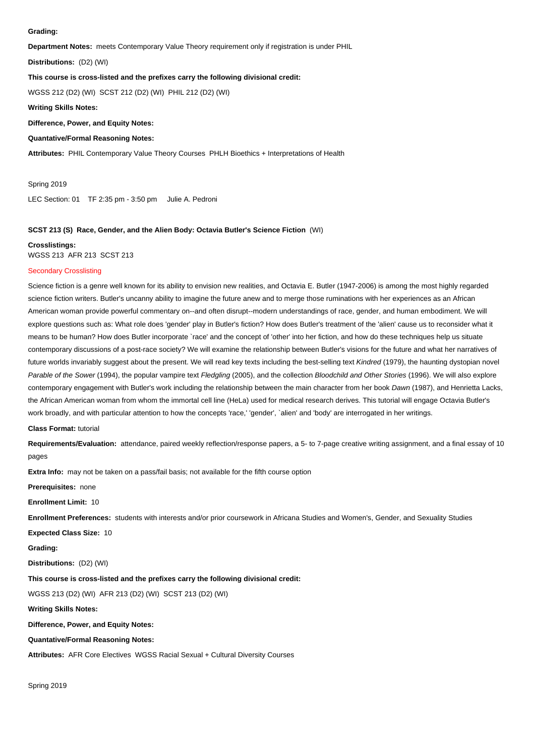#### **Grading:**

**Department Notes:** meets Contemporary Value Theory requirement only if registration is under PHIL

**Distributions:** (D2) (WI)

# **This course is cross-listed and the prefixes carry the following divisional credit:**

WGSS 212 (D2) (WI) SCST 212 (D2) (WI) PHIL 212 (D2) (WI)

# **Writing Skills Notes:**

**Difference, Power, and Equity Notes:** 

# **Quantative/Formal Reasoning Notes:**

**Attributes:** PHIL Contemporary Value Theory Courses PHLH Bioethics + Interpretations of Health

Spring 2019

LEC Section: 01 TF 2:35 pm - 3:50 pm Julie A. Pedroni

## **SCST 213 (S) Race, Gender, and the Alien Body: Octavia Butler's Science Fiction** (WI)

#### **Crosslistings:**

WGSS 213 AFR 213 SCST 213

### Secondary Crosslisting

Science fiction is a genre well known for its ability to envision new realities, and Octavia E. Butler (1947-2006) is among the most highly regarded science fiction writers. Butler's uncanny ability to imagine the future anew and to merge those ruminations with her experiences as an African American woman provide powerful commentary on--and often disrupt--modern understandings of race, gender, and human embodiment. We will explore questions such as: What role does 'gender' play in Butler's fiction? How does Butler's treatment of the 'alien' cause us to reconsider what it means to be human? How does Butler incorporate `race' and the concept of 'other' into her fiction, and how do these techniques help us situate contemporary discussions of a post-race society? We will examine the relationship between Butler's visions for the future and what her narratives of future worlds invariably suggest about the present. We will read key texts including the best-selling text Kindred (1979), the haunting dystopian novel Parable of the Sower (1994), the popular vampire text Fledgling (2005), and the collection Bloodchild and Other Stories (1996). We will also explore contemporary engagement with Butler's work including the relationship between the main character from her book Dawn (1987), and Henrietta Lacks, the African American woman from whom the immortal cell line (HeLa) used for medical research derives. This tutorial will engage Octavia Butler's work broadly, and with particular attention to how the concepts 'race,' 'gender', `alien' and 'body' are interrogated in her writings.

#### **Class Format:** tutorial

**Requirements/Evaluation:** attendance, paired weekly reflection/response papers, a 5- to 7-page creative writing assignment, and a final essay of 10 pages

**Extra Info:** may not be taken on a pass/fail basis; not available for the fifth course option

**Prerequisites:** none

#### **Enrollment Limit:** 10

**Enrollment Preferences:** students with interests and/or prior coursework in Africana Studies and Women's, Gender, and Sexuality Studies

#### **Expected Class Size:** 10

**Grading:** 

**Distributions:** (D2) (WI)

### **This course is cross-listed and the prefixes carry the following divisional credit:**

WGSS 213 (D2) (WI) AFR 213 (D2) (WI) SCST 213 (D2) (WI)

### **Writing Skills Notes:**

### **Difference, Power, and Equity Notes:**

### **Quantative/Formal Reasoning Notes:**

**Attributes:** AFR Core Electives WGSS Racial Sexual + Cultural Diversity Courses

Spring 2019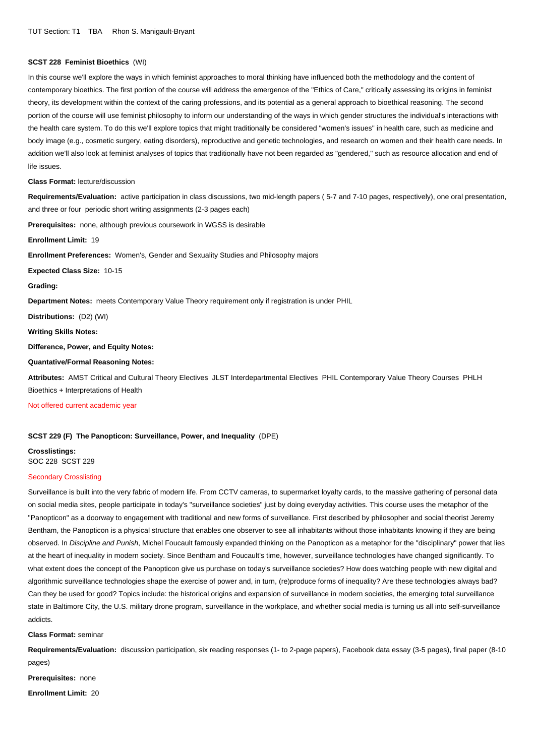## **SCST 228 Feminist Bioethics** (WI)

In this course we'll explore the ways in which feminist approaches to moral thinking have influenced both the methodology and the content of contemporary bioethics. The first portion of the course will address the emergence of the "Ethics of Care," critically assessing its origins in feminist theory, its development within the context of the caring professions, and its potential as a general approach to bioethical reasoning. The second portion of the course will use feminist philosophy to inform our understanding of the ways in which gender structures the individual's interactions with the health care system. To do this we'll explore topics that might traditionally be considered "women's issues" in health care, such as medicine and body image (e.g., cosmetic surgery, eating disorders), reproductive and genetic technologies, and research on women and their health care needs. In addition we'll also look at feminist analyses of topics that traditionally have not been regarded as "gendered," such as resource allocation and end of life issues. ï

#### **Class Format:** lecture/discussion

**Requirements/Evaluation:** active participation in class discussions, two mid-length papers ( 5-7 and 7-10 pages, respectively), one oral presentation, and three or four periodic short writing assignments (2-3 pages each)

**Prerequisites:** none, although previous coursework in WGSS is desirable

**Enrollment Limit:** 19

**Enrollment Preferences:** Women's, Gender and Sexuality Studies and Philosophy majors

**Expected Class Size:** 10-15

**Grading:** 

**Department Notes:** meets Contemporary Value Theory requirement only if registration is under PHIL

**Distributions:** (D2) (WI)

**Writing Skills Notes:** 

**Difference, Power, and Equity Notes:** 

### **Quantative/Formal Reasoning Notes:**

**Attributes:** AMST Critical and Cultural Theory Electives JLST Interdepartmental Electives PHIL Contemporary Value Theory Courses PHLH Bioethics + Interpretations of Health

Not offered current academic year

### **SCST 229 (F) The Panopticon: Surveillance, Power, and Inequality** (DPE)

**Crosslistings:**  SOC 228 SCST 229

### Secondary Crosslisting

Surveillance is built into the very fabric of modern life. From CCTV cameras, to supermarket loyalty cards, to the massive gathering of personal data on social media sites, people participate in today's "surveillance societies" just by doing everyday activities. This course uses the metaphor of the "Panopticon" as a doorway to engagement with traditional and new forms of surveillance. First described by philosopher and social theorist Jeremy Bentham, the Panopticon is a physical structure that enables one observer to see all inhabitants without those inhabitants knowing if they are being observed. In Discipline and Punish, Michel Foucault famously expanded thinking on the Panopticon as a metaphor for the "disciplinary" power that lies at the heart of inequality in modern society. Since Bentham and Foucault's time, however, surveillance technologies have changed significantly. To what extent does the concept of the Panopticon give us purchase on today's surveillance societies? How does watching people with new digital and algorithmic surveillance technologies shape the exercise of power and, in turn, (re)produce forms of inequality? Are these technologies always bad? Can they be used for good? Topics include: the historical origins and expansion of surveillance in modern societies, the emerging total surveillance state in Baltimore City, the U.S. military drone program, surveillance in the workplace, and whether social media is turning us all into self-surveillance addicts. Ì

**Class Format:** seminar

**Requirements/Evaluation:** discussion participation, six reading responses (1- to 2-page papers), Facebook data essay (3-5 pages), final paper (8-10 pages)

**Prerequisites:** none

**Enrollment Limit:** 20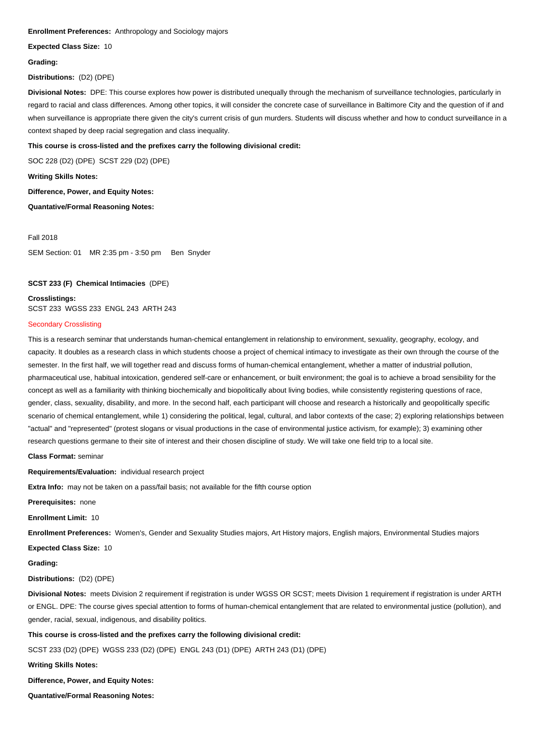#### **Enrollment Preferences:** Anthropology and Sociology majors

**Expected Class Size:** 10

#### **Grading:**

**Distributions:** (D2) (DPE)

**Divisional Notes:** DPE: This course explores how power is distributed unequally through the mechanism of surveillance technologies, particularly in regard to racial and class differences. Among other topics, it will consider the concrete case of surveillance in Baltimore City and the question of if and when surveillance is appropriate there given the city's current crisis of gun murders. Students will discuss whether and how to conduct surveillance in a context shaped by deep racial segregation and class inequality.

### **This course is cross-listed and the prefixes carry the following divisional credit:**

SOC 228 (D2) (DPE) SCST 229 (D2) (DPE)

**Writing Skills Notes:** 

**Difference, Power, and Equity Notes:** 

**Quantative/Formal Reasoning Notes:** 

Fall 2018

SEM Section: 01 MR 2:35 pm - 3:50 pm Ben Snyder

### **SCST 233 (F) Chemical Intimacies** (DPE)

**Crosslistings:**  SCST 233 WGSS 233 ENGL 243 ARTH 243

# Secondary Crosslisting

This is a research seminar that understands human-chemical entanglement in relationship to environment, sexuality, geography, ecology, and capacity. It doubles as a research class in which students choose a project of chemical intimacy to investigate as their own through the course of the semester. In the first half, we will together read and discuss forms of human-chemical entanglement, whether a matter of industrial pollution, pharmaceutical use, habitual intoxication, gendered self-care or enhancement, or built environment; the goal is to achieve a broad sensibility for the concept as well as a familiarity with thinking biochemically and biopolitically about living bodies, while consistently registering questions of race, gender, class, sexuality, disability, and more. In the second half, each participant will choose and research a historically and geopolitically specific scenario of chemical entanglement, while 1) considering the political, legal, cultural, and labor contexts of the case; 2) exploring relationships between "actual" and "represented" (protest slogans or visual productions in the case of environmental justice activism, for example); 3) examining other research questions germane to their site of interest and their chosen discipline of study. We will take one field trip to a local site.

**Class Format:** seminar

**Requirements/Evaluation:** individual research project

**Extra Info:** may not be taken on a pass/fail basis; not available for the fifth course option

**Prerequisites:** none

**Enrollment Limit:** 10

**Enrollment Preferences:** Women's, Gender and Sexuality Studies majors, Art History majors, English majors, Environmental Studies majors

**Expected Class Size:** 10

**Grading:** 

**Distributions:** (D2) (DPE)

**Divisional Notes:** meets Division 2 requirement if registration is under WGSS OR SCST; meets Division 1 requirement if registration is under ARTH or ENGL. DPE: The course gives special attention to forms of human-chemical entanglement that are related to environmental justice (pollution), and gender, racial, sexual, indigenous, and disability politics.

### **This course is cross-listed and the prefixes carry the following divisional credit:**

SCST 233 (D2) (DPE) WGSS 233 (D2) (DPE) ENGL 243 (D1) (DPE) ARTH 243 (D1) (DPE)

**Writing Skills Notes:** 

**Difference, Power, and Equity Notes:** 

**Quantative/Formal Reasoning Notes:**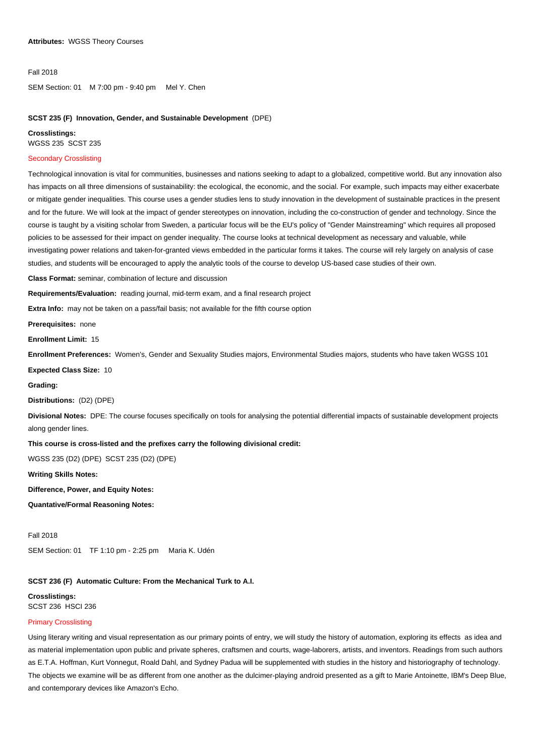#### Fall 2018

SEM Section: 01 M 7:00 pm - 9:40 pm Mel Y. Chen

### **SCST 235 (F) Innovation, Gender, and Sustainable Development** (DPE)

#### **Crosslistings:**

WGSS 235 SCST 235

### Secondary Crosslisting

Technological innovation is vital for communities, businesses and nations seeking to adapt to a globalized, competitive world. But any innovation also has impacts on all three dimensions of sustainability: the ecological, the economic, and the social. For example, such impacts may either exacerbate or mitigate gender inequalities. This course uses a gender studies lens to study innovation in the development of sustainable practices in the present and for the future. We will look at the impact of gender stereotypes on innovation, including the co-construction of gender and technology. Since the course is taught by a visiting scholar from Sweden, a particular focus will be the EU's policy of "Gender Mainstreaming" which requires all proposed policies to be assessed for their impact on gender inequality. The course looks at technical development as necessary and valuable, while investigating power relations and taken-for-granted views embedded in the particular forms it takes. The course will rely largely on analysis of case studies, and students will be encouraged to apply the analytic tools of the course to develop US-based case studies of their own.

**Class Format:** seminar, combination of lecture and discussion

**Requirements/Evaluation:** reading journal, mid-term exam, and a final research project

**Extra Info:** may not be taken on a pass/fail basis; not available for the fifth course option

**Prerequisites:** none

**Enrollment Limit:** 15

**Enrollment Preferences:** Women's, Gender and Sexuality Studies majors, Environmental Studies majors, students who have taken WGSS 101

**Expected Class Size:** 10

#### **Grading:**

#### **Distributions:** (D2) (DPE)

**Divisional Notes:** DPE: The course focuses specifically on tools for analysing the potential differential impacts of sustainable development projects along gender lines.

### **This course is cross-listed and the prefixes carry the following divisional credit:**

WGSS 235 (D2) (DPE) SCST 235 (D2) (DPE)

### **Writing Skills Notes:**

**Difference, Power, and Equity Notes:** 

**Quantative/Formal Reasoning Notes:** 

#### Fall 2018

SEM Section: 01 TF 1:10 pm - 2:25 pm Maria K. Udén

# **SCST 236 (F) Automatic Culture: From the Mechanical Turk to A.I.**

**Crosslistings:**  SCST 236 HSCI 236

### Primary Crosslisting

Using literary writing and visual representation as our primary points of entry, we will study the history of automation, exploring its effects as idea and as material implementation upon public and private spheres, craftsmen and courts, wage-laborers, artists, and inventors. Readings from such authors as E.T.A. Hoffman, Kurt Vonnegut, Roald Dahl, and Sydney Padua will be supplemented with studies in the history and historiography of technology. The objects we examine will be as different from one another as the dulcimer-playing android presented as a gift to Marie Antoinette, IBM's Deep Blue, and contemporary devices like Amazon's Echo.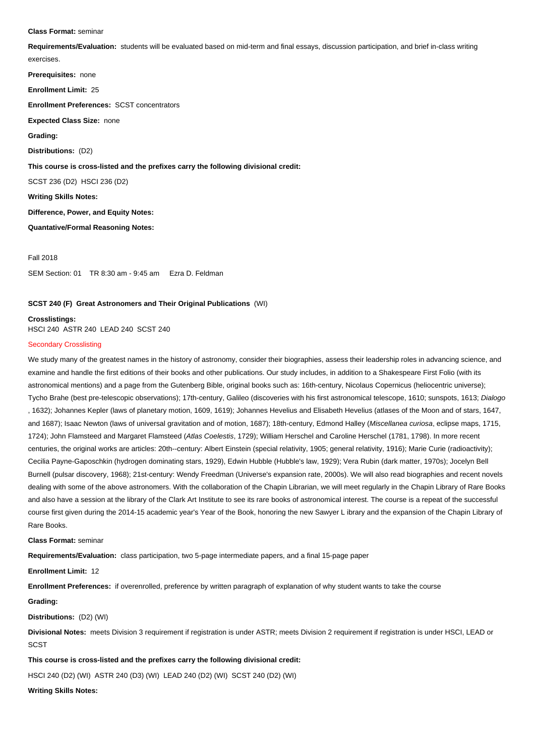#### **Class Format:** seminar

**Requirements/Evaluation:** students will be evaluated based on mid-term and final essays, discussion participation, and brief in-class writing exercises.

**Prerequisites:** none **Enrollment Limit:** 25 **Enrollment Preferences:** SCST concentrators **Expected Class Size:** none **Grading: Distributions:** (D2) **This course is cross-listed and the prefixes carry the following divisional credit:** SCST 236 (D2) HSCI 236 (D2) **Writing Skills Notes: Difference, Power, and Equity Notes: Quantative/Formal Reasoning Notes:** 

Fall 2018

SEM Section: 01 TR 8:30 am - 9:45 am Ezra D. Feldman

### **SCST 240 (F) Great Astronomers and Their Original Publications** (WI)

**Crosslistings:**  HSCI 240 ASTR 240 LEAD 240 SCST 240

### Secondary Crosslisting

We study many of the greatest names in the history of astronomy, consider their biographies, assess their leadership roles in advancing science, and examine and handle the first editions of their books and other publications. Our study includes, in addition to a Shakespeare First Folio (with its astronomical mentions) and a page from the Gutenberg Bible, original books such as: 16th-century, Nicolaus Copernicus (heliocentric universe); Tycho Brahe (best pre-telescopic observations); 17th-century, Galileo (discoveries with his first astronomical telescope, 1610; sunspots, 1613; Dialogo , 1632); Johannes Kepler (laws of planetary motion, 1609, 1619); Johannes Hevelius and Elisabeth Hevelius (atlases of the Moon and of stars, 1647, and 1687); Isaac Newton (laws of universal gravitation and of motion, 1687); 18th-century, Edmond Halley (Miscellanea curiosa, eclipse maps, 1715, 1724); John Flamsteed and Margaret Flamsteed (Atlas Coelestis, 1729); William Herschel and Caroline Herschel (1781, 1798). In more recent centuries, the original works are articles: 20th--century: Albert Einstein (special relativity, 1905; general relativity, 1916); Marie Curie (radioactivity); Cecilia Payne-Gaposchkin (hydrogen dominating stars, 1929), Edwin Hubble (Hubble's law, 1929); Vera Rubin (dark matter, 1970s); Jocelyn Bell Burnell (pulsar discovery, 1968); 21st-century: Wendy Freedman (Universe's expansion rate, 2000s). We will also read biographies and recent novels dealing with some of the above astronomers. With the collaboration of the Chapin Librarian, we will meet regularly in the Chapin Library of Rare Books and also have a session at the library of the Clark Art Institute to see its rare books of astronomical interest. The course is a repeat of the successful course first given during the 2014-15 academic year's Year of the Book, honoring the new Sawyer L ibrary and the expansion of the Chapin Library of Rare Books. i

**Class Format:** seminar

**Requirements/Evaluation:** class participation, two 5-page intermediate papers, and a final 15-page paper

**Enrollment Limit:** 12

**Enrollment Preferences:** if overenrolled, preference by written paragraph of explanation of why student wants to take the course

#### **Grading:**

**Distributions:** (D2) (WI)

**Divisional Notes:** meets Division 3 requirement if registration is under ASTR; meets Division 2 requirement if registration is under HSCI, LEAD or SCST

**This course is cross-listed and the prefixes carry the following divisional credit:**

HSCI 240 (D2) (WI) ASTR 240 (D3) (WI) LEAD 240 (D2) (WI) SCST 240 (D2) (WI)

**Writing Skills Notes:**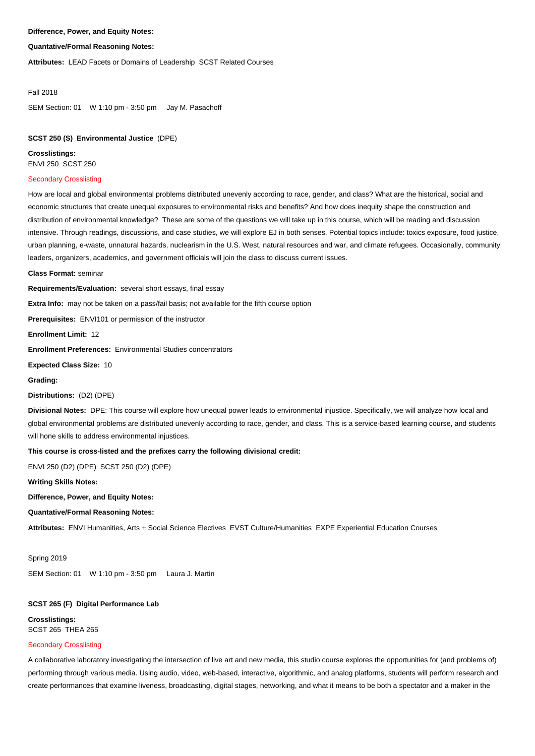# **Difference, Power, and Equity Notes:**

### **Quantative/Formal Reasoning Notes:**

**Attributes:** LEAD Facets or Domains of Leadership SCST Related Courses

#### Fall 2018

SEM Section: 01 W 1:10 pm - 3:50 pm Jay M. Pasachoff

# **SCST 250 (S) Environmental Justice** (DPE)

**Crosslistings:**  ENVI 250 SCST 250 Ī

### Secondary Crosslisting

How are local and global environmental problems distributed unevenly according to race, gender, and class? What are the historical, social and economic structures that create unequal exposures to environmental risks and benefits? And how does inequity shape the construction and distribution of environmental knowledge? These are some of the questions we will take up in this course, which will be reading and discussion intensive. Through readings, discussions, and case studies, we will explore EJ in both senses. Potential topics include: toxics exposure, food justice, urban planning, e-waste, unnatural hazards, nuclearism in the U.S. West, natural resources and war, and climate refugees. Occasionally, community leaders, organizers, academics, and government officials will join the class to discuss current issues.

**Class Format:** seminar

**Requirements/Evaluation:** several short essays, final essay

**Extra Info:** may not be taken on a pass/fail basis; not available for the fifth course option

**Prerequisites:** ENVI101 or permission of the instructor

**Enrollment Limit:** 12

**Enrollment Preferences:** Environmental Studies concentrators

**Expected Class Size:** 10

**Grading:** 

#### **Distributions:** (D2) (DPE)

**Divisional Notes:** DPE: This course will explore how unequal power leads to environmental injustice. Specifically, we will analyze how local and global environmental problems are distributed unevenly according to race, gender, and class. This is a service-based learning course, and students will hone skills to address environmental injustices.

### **This course is cross-listed and the prefixes carry the following divisional credit:**

ENVI 250 (D2) (DPE) SCST 250 (D2) (DPE)

### **Writing Skills Notes:**

### **Difference, Power, and Equity Notes:**

### **Quantative/Formal Reasoning Notes:**

**Attributes:** ENVI Humanities, Arts + Social Science Electives EVST Culture/Humanities EXPE Experiential Education Courses

#### Spring 2019

SEM Section: 01 W 1:10 pm - 3:50 pm Laura J. Martin

### **SCST 265 (F) Digital Performance Lab**

**Crosslistings:**  SCST 265 THEA 265

### Secondary Crosslisting

A collaborative laboratory investigating the intersection of live art and new media, this studio course explores the opportunities for (and problems of) performing through various media. Using audio, video, web-based, interactive, algorithmic, and analog platforms, students will perform research and create performances that examine liveness, broadcasting, digital stages, networking, and what it means to be both a spectator and a maker in the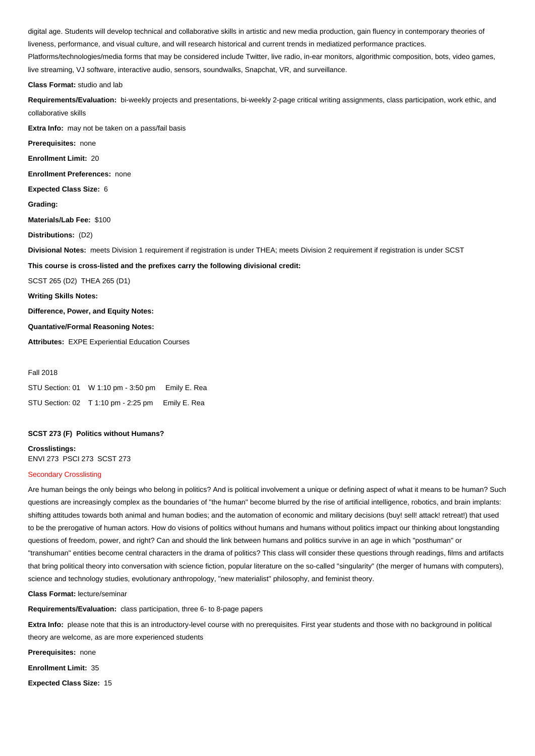digital age. Students will develop technical and collaborative skills in artistic and new media production, gain fluency in contemporary theories of liveness, performance, and visual culture, and will research historical and current trends in mediatized performance practices.

Platforms/technologies/media forms that may be considered include Twitter, live radio, in-ear monitors, algorithmic composition, bots, video games, live streaming, VJ software, interactive audio, sensors, soundwalks, Snapchat, VR, and surveillance.

#### **Class Format:** studio and lab

**Requirements/Evaluation:** bi-weekly projects and presentations, bi-weekly 2-page critical writing assignments, class participation, work ethic, and collaborative skills

**Extra Info:** may not be taken on a pass/fail basis

**Prerequisites:** none

**Enrollment Limit:** 20

**Enrollment Preferences:** none

**Expected Class Size:** 6

**Grading:** 

**Materials/Lab Fee:** \$100

**Distributions:** (D2)

**Divisional Notes:** meets Division 1 requirement if registration is under THEA; meets Division 2 requirement if registration is under SCST

**This course is cross-listed and the prefixes carry the following divisional credit:**

SCST 265 (D2) THEA 265 (D1)

**Writing Skills Notes:** 

**Difference, Power, and Equity Notes:** 

### **Quantative/Formal Reasoning Notes:**

**Attributes:** EXPE Experiential Education Courses

#### Fall 2018

| STU Section: 01 W 1:10 pm - 3:50 pm Emily E. Rea |  |
|--------------------------------------------------|--|
| STU Section: 02 T 1:10 pm - 2:25 pm Emily E. Rea |  |

### **SCST 273 (F) Politics without Humans?**

**Crosslistings:**  ENVI 273 PSCI 273 SCST 273

### Secondary Crosslisting

Are human beings the only beings who belong in politics? And is political involvement a unique or defining aspect of what it means to be human? Such questions are increasingly complex as the boundaries of "the human" become blurred by the rise of artificial intelligence, robotics, and brain implants: shifting attitudes towards both animal and human bodies; and the automation of economic and military decisions (buy! sell! attack! retreat!) that used to be the prerogative of human actors. How do visions of politics without humans and humans without politics impact our thinking about longstanding questions of freedom, power, and right? Can and should the link between humans and politics survive in an age in which "posthuman" or "transhuman" entities become central characters in the drama of politics? This class will consider these questions through readings, films and artifacts that bring political theory into conversation with science fiction, popular literature on the so-called "singularity" (the merger of humans with computers), science and technology studies, evolutionary anthropology, "new materialist" philosophy, and feminist theory.

**Class Format:** lecture/seminar

**Requirements/Evaluation:** class participation, three 6- to 8-page papers

**Extra Info:** please note that this is an introductory-level course with no prerequisites. First year students and those with no background in political theory are welcome, as are more experienced students

**Prerequisites:** none

**Enrollment Limit:** 35

**Expected Class Size:** 15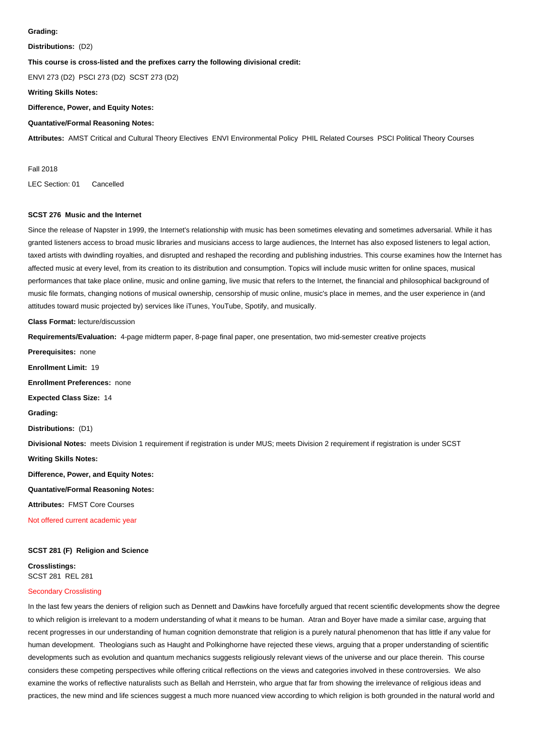#### **Grading:**

**Distributions:** (D2)

# **This course is cross-listed and the prefixes carry the following divisional credit:**

ENVI 273 (D2) PSCI 273 (D2) SCST 273 (D2)

**Writing Skills Notes:** 

**Difference, Power, and Equity Notes:** 

# **Quantative/Formal Reasoning Notes:**

**Attributes:** AMST Critical and Cultural Theory Electives ENVI Environmental Policy PHIL Related Courses PSCI Political Theory Courses

Fall 2018

LEC Section: 01 Cancelled

# **SCST 276 Music and the Internet**

Since the release of Napster in 1999, the Internet's relationship with music has been sometimes elevating and sometimes adversarial. While it has granted listeners access to broad music libraries and musicians access to large audiences, the Internet has also exposed listeners to legal action, taxed artists with dwindling royalties, and disrupted and reshaped the recording and publishing industries. This course examines how the Internet has affected music at every level, from its creation to its distribution and consumption. Topics will include music written for online spaces, musical performances that take place online, music and online gaming, live music that refers to the Internet, the financial and philosophical background of music file formats, changing notions of musical ownership, censorship of music online, music's place in memes, and the user experience in (and attitudes toward music projected by) services like iTunes, YouTube, Spotify, and musically.

**Class Format:** lecture/discussion

**Requirements/Evaluation:** 4-page midterm paper, 8-page final paper, one presentation, two mid-semester creative projects

**Prerequisites:** none **Enrollment Limit:** 19 **Enrollment Preferences:** none **Expected Class Size:** 14 **Grading: Distributions:** (D1) **Divisional Notes:** meets Division 1 requirement if registration is under MUS; meets Division 2 requirement if registration is under SCST **Writing Skills Notes: Difference, Power, and Equity Notes: Quantative/Formal Reasoning Notes: Attributes:** FMST Core Courses Not offered current academic year

### **SCST 281 (F) Religion and Science**

**Crosslistings:**  SCST 281 REL 281

### Secondary Crosslisting

In the last few years the deniers of religion such as Dennett and Dawkins have forcefully argued that recent scientific developments show the degree to which religion is irrelevant to a modern understanding of what it means to be human. Atran and Boyer have made a similar case, arguing that recent progresses in our understanding of human cognition demonstrate that religion is a purely natural phenomenon that has little if any value for human development. Theologians such as Haught and Polkinghorne have rejected these views, arguing that a proper understanding of scientific developments such as evolution and quantum mechanics suggests religiously relevant views of the universe and our place therein. This course considers these competing perspectives while offering critical reflections on the views and categories involved in these controversies. We also examine the works of reflective naturalists such as Bellah and Herrstein, who argue that far from showing the irrelevance of religious ideas and practices, the new mind and life sciences suggest a much more nuanced view according to which religion is both grounded in the natural world and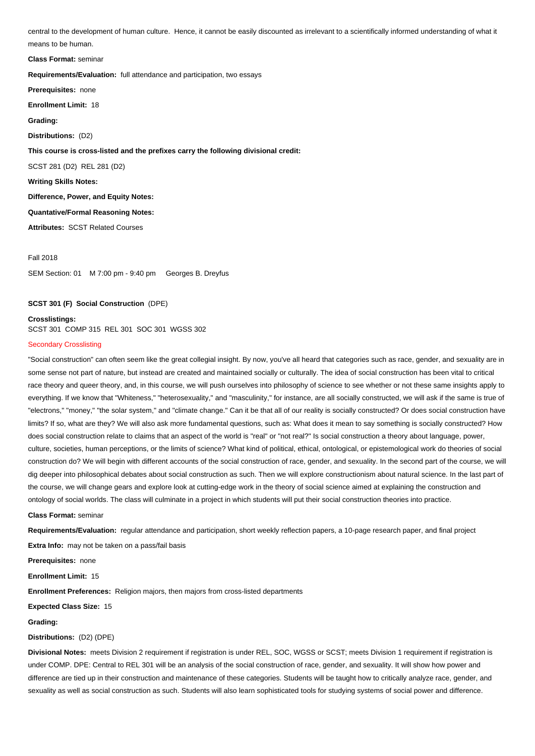central to the development of human culture. Hence, it cannot be easily discounted as irrelevant to a scientifically informed understanding of what it means to be human.

İ **Class Format:** seminar

**Requirements/Evaluation:** full attendance and participation, two essays

**Prerequisites:** none

**Enrollment Limit:** 18

**Grading:** 

**Distributions:** (D2)

**This course is cross-listed and the prefixes carry the following divisional credit:**

SCST 281 (D2) REL 281 (D2)

**Writing Skills Notes:** 

**Difference, Power, and Equity Notes:** 

**Quantative/Formal Reasoning Notes:** 

**Attributes:** SCST Related Courses

Fall 2018

SEM Section: 01 M 7:00 pm - 9:40 pm Georges B. Dreyfus

# **SCST 301 (F) Social Construction** (DPE)

# **Crosslistings:**

SCST 301 COMP 315 REL 301 SOC 301 WGSS 302

### Secondary Crosslisting

"Social construction" can often seem like the great collegial insight. By now, you've all heard that categories such as race, gender, and sexuality are in some sense not part of nature, but instead are created and maintained socially or culturally. The idea of social construction has been vital to critical race theory and queer theory, and, in this course, we will push ourselves into philosophy of science to see whether or not these same insights apply to everything. If we know that "Whiteness," "heterosexuality," and "masculinity," for instance, are all socially constructed, we will ask if the same is true of "electrons," "money," "the solar system," and "climate change." Can it be that all of our reality is socially constructed? Or does social construction have limits? If so, what are they? We will also ask more fundamental questions, such as: What does it mean to say something is socially constructed? How does social construction relate to claims that an aspect of the world is "real" or "not real?" Is social construction a theory about language, power, culture, societies, human perceptions, or the limits of science? What kind of political, ethical, ontological, or epistemological work do theories of social construction do? We will begin with different accounts of the social construction of race, gender, and sexuality. In the second part of the course, we will dig deeper into philosophical debates about social construction as such. Then we will explore constructionism about natural science. In the last part of the course, we will change gears and explore look at cutting-edge work in the theory of social science aimed at explaining the construction and ontology of social worlds. The class will culminate in a project in which students will put their social construction theories into practice.

**Class Format:** seminar

**Requirements/Evaluation:** regular attendance and participation, short weekly reflection papers, a 10-page research paper, and final project

**Extra Info:** may not be taken on a pass/fail basis

**Prerequisites:** none

**Enrollment Limit:** 15

**Enrollment Preferences:** Religion majors, then majors from cross-listed departments

**Expected Class Size:** 15

**Grading:** 

**Distributions:** (D2) (DPE)

**Divisional Notes:** meets Division 2 requirement if registration is under REL, SOC, WGSS or SCST; meets Division 1 requirement if registration is under COMP. DPE: Central to REL 301 will be an analysis of the social construction of race, gender, and sexuality. It will show how power and difference are tied up in their construction and maintenance of these categories. Students will be taught how to critically analyze race, gender, and sexuality as well as social construction as such. Students will also learn sophisticated tools for studying systems of social power and difference.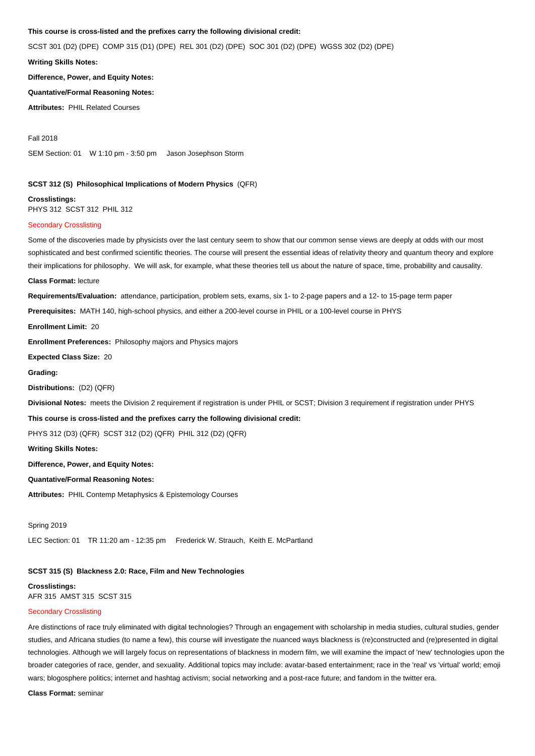# **This course is cross-listed and the prefixes carry the following divisional credit:**

SCST 301 (D2) (DPE) COMP 315 (D1) (DPE) REL 301 (D2) (DPE) SOC 301 (D2) (DPE) WGSS 302 (D2) (DPE)

**Writing Skills Notes:** 

**Difference, Power, and Equity Notes:** 

**Quantative/Formal Reasoning Notes:** 

**Attributes:** PHIL Related Courses

Fall 2018

SEM Section: 01 W 1:10 pm - 3:50 pm Jason Josephson Storm

# **SCST 312 (S) Philosophical Implications of Modern Physics** (QFR)

**Crosslistings:**  PHYS 312 SCST 312 PHIL 312

### Secondary Crosslisting

Some of the discoveries made by physicists over the last century seem to show that our common sense views are deeply at odds with our most sophisticated and best confirmed scientific theories. The course will present the essential ideas of relativity theory and quantum theory and explore their implications for philosophy. We will ask, for example, what these theories tell us about the nature of space, time, probability and causality.

#### **Class Format:** lecture

**Requirements/Evaluation:** attendance, participation, problem sets, exams, six 1- to 2-page papers and a 12- to 15-page term paper

**Prerequisites:** MATH 140, high-school physics, and either a 200-level course in PHIL or a 100-level course in PHYS

**Enrollment Limit:** 20

**Enrollment Preferences:** Philosophy majors and Physics majors

**Expected Class Size:** 20

**Grading:** 

**Distributions:** (D2) (QFR)

**Divisional Notes:** meets the Division 2 requirement if registration is under PHIL or SCST; Division 3 requirement if registration under PHYS

**This course is cross-listed and the prefixes carry the following divisional credit:**

PHYS 312 (D3) (QFR) SCST 312 (D2) (QFR) PHIL 312 (D2) (QFR)

**Writing Skills Notes:** 

**Difference, Power, and Equity Notes:** 

### **Quantative/Formal Reasoning Notes:**

**Attributes:** PHIL Contemp Metaphysics & Epistemology Courses

Spring 2019

LEC Section: 01 TR 11:20 am - 12:35 pm Frederick W. Strauch, Keith E. McPartland

### **SCST 315 (S) Blackness 2.0: Race, Film and New Technologies**

**Crosslistings:**  AFR 315 AMST 315 SCST 315

### Secondary Crosslisting

Are distinctions of race truly eliminated with digital technologies? Through an engagement with scholarship in media studies, cultural studies, gender studies, and Africana studies (to name a few), this course will investigate the nuanced ways blackness is (re)constructed and (re)presented in digital technologies. Although we will largely focus on representations of blackness in modern film, we will examine the impact of 'new' technologies upon the broader categories of race, gender, and sexuality. Additional topics may include: avatar-based entertainment; race in the 'real' vs 'virtual' world; emoji wars; blogosphere politics; internet and hashtag activism; social networking and a post-race future; and fandom in the twitter era.

**Class Format:** seminar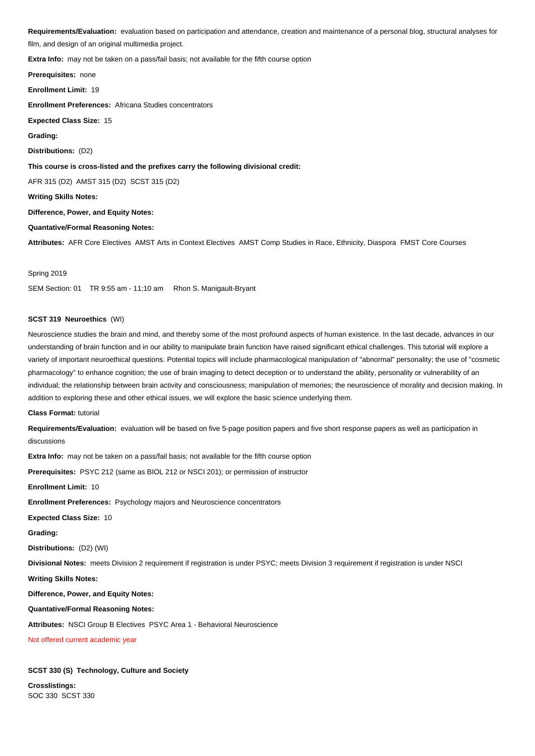**Requirements/Evaluation:** evaluation based on participation and attendance, creation and maintenance of a personal blog, structural analyses for film, and design of an original multimedia project.

**Extra Info:** may not be taken on a pass/fail basis; not available for the fifth course option

**Prerequisites:** none **Enrollment Limit:** 19 **Enrollment Preferences:** Africana Studies concentrators **Expected Class Size:** 15 **Grading: Distributions:** (D2) **This course is cross-listed and the prefixes carry the following divisional credit:** AFR 315 (D2) AMST 315 (D2) SCST 315 (D2) **Writing Skills Notes: Difference, Power, and Equity Notes: Quantative/Formal Reasoning Notes:** 

**Attributes:** AFR Core Electives AMST Arts in Context Electives AMST Comp Studies in Race, Ethnicity, Diaspora FMST Core Courses

#### Spring 2019

SEM Section: 01 TR 9:55 am - 11:10 am Rhon S. Manigault-Bryant

### **SCST 319 Neuroethics** (WI)

Neuroscience studies the brain and mind, and thereby some of the most profound aspects of human existence. In the last decade, advances in our understanding of brain function and in our ability to manipulate brain function have raised significant ethical challenges. This tutorial will explore a variety of important neuroethical questions. Potential topics will include pharmacological manipulation of "abnormal" personality; the use of "cosmetic pharmacology" to enhance cognition; the use of brain imaging to detect deception or to understand the ability, personality or vulnerability of an individual; the relationship between brain activity and consciousness; manipulation of memories; the neuroscience of morality and decision making. In addition to exploring these and other ethical issues, we will explore the basic science underlying them.

#### **Class Format:** tutorial

**Requirements/Evaluation:** evaluation will be based on five 5-page position papers and five short response papers as well as participation in discussions

**Extra Info:** may not be taken on a pass/fail basis; not available for the fifth course option

**Prerequisites:** PSYC 212 (same as BIOL 212 or NSCI 201); or permission of instructor

#### **Enrollment Limit:** 10

**Enrollment Preferences:** Psychology majors and Neuroscience concentrators

**Expected Class Size:** 10

**Grading:** 

**Distributions:** (D2) (WI)

**Divisional Notes:** meets Division 2 requirement if registration is under PSYC; meets Division 3 requirement if registration is under NSCI

### **Writing Skills Notes:**

**Difference, Power, and Equity Notes:** 

### **Quantative/Formal Reasoning Notes:**

**Attributes:** NSCI Group B Electives PSYC Area 1 - Behavioral Neuroscience

Not offered current academic year

### **SCST 330 (S) Technology, Culture and Society**

**Crosslistings:**  SOC 330 SCST 330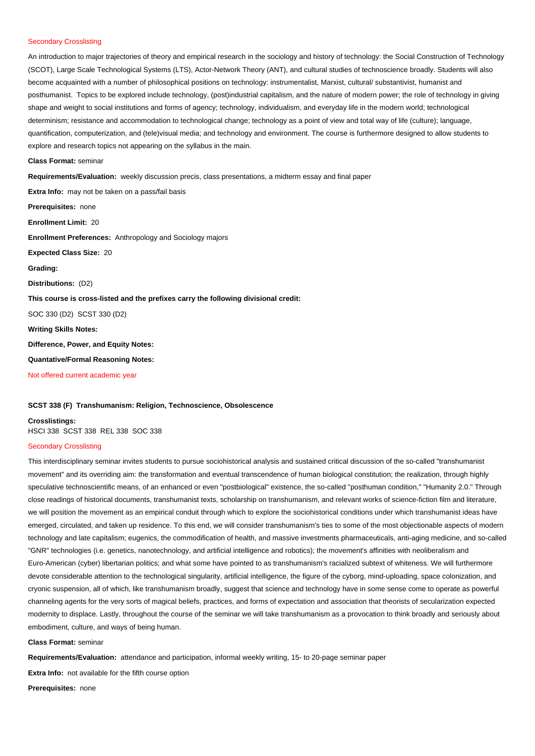### Secondary Crosslisting

An introduction to major trajectories of theory and empirical research in the sociology and history of technology: the Social Construction of Technology (SCOT), Large Scale Technological Systems (LTS), Actor-Network Theory (ANT), and cultural studies of technoscience broadly. Students will also become acquainted with a number of philosophical positions on technology: instrumentalist, Marxist, cultural/ substantivist, humanist and posthumanist. Topics to be explored include technology, (post)industrial capitalism, and the nature of modern power; the role of technology in giving shape and weight to social institutions and forms of agency; technology, individualism, and everyday life in the modern world; technological determinism; resistance and accommodation to technological change; technology as a point of view and total way of life (culture); language, quantification, computerization, and (tele)visual media; and technology and environment. The course is furthermore designed to allow students to explore and research topics not appearing on the syllabus in the main.

**Class Format:** seminar

**Requirements/Evaluation:** weekly discussion precis, class presentations, a midterm essay and final paper

**Extra Info:** may not be taken on a pass/fail basis **Prerequisites:** none **Enrollment Limit:** 20 **Enrollment Preferences:** Anthropology and Sociology majors **Expected Class Size:** 20 **Grading: Distributions:** (D2) **This course is cross-listed and the prefixes carry the following divisional credit:** SOC 330 (D2) SCST 330 (D2) **Writing Skills Notes: Difference, Power, and Equity Notes: Quantative/Formal Reasoning Notes:**  Not offered current academic year

### **SCST 338 (F) Transhumanism: Religion, Technoscience, Obsolescence**

**Crosslistings:** 

# HSCI 338 SCST 338 REL 338 SOC 338

### Secondary Crosslisting

This interdisciplinary seminar invites students to pursue sociohistorical analysis and sustained critical discussion of the so-called "transhumanist movement" and its overriding aim: the transformation and eventual transcendence of human biological constitution; the realization, through highly speculative technoscientific means, of an enhanced or even "postbiological" existence, the so-called "posthuman condition," "Humanity 2.0." Through close readings of historical documents, transhumanist texts, scholarship on transhumanism, and relevant works of science-fiction film and literature, we will position the movement as an empirical conduit through which to explore the sociohistorical conditions under which transhumanist ideas have emerged, circulated, and taken up residence. To this end, we will consider transhumanism's ties to some of the most objectionable aspects of modern technology and late capitalism; eugenics, the commodification of health, and massive investments pharmaceuticals, anti-aging medicine, and so-called "GNR" technologies (i.e. genetics, nanotechnology, and artificial intelligence and robotics); the movement's affinities with neoliberalism and Euro-American (cyber) libertarian politics; and what some have pointed to as transhumanism's racialized subtext of whiteness. We will furthermore devote considerable attention to the technological singularity, artificial intelligence, the figure of the cyborg, mind-uploading, space colonization, and cryonic suspension, all of which, like transhumanism broadly, suggest that science and technology have in some sense come to operate as powerful channeling agents for the very sorts of magical beliefs, practices, and forms of expectation and association that theorists of secularization expected modernity to displace. Lastly, throughout the course of the seminar we will take transhumanism as a provocation to think broadly and seriously about embodiment, culture, and ways of being human.

**Class Format:** seminar

**Requirements/Evaluation:** attendance and participation, informal weekly writing, 15- to 20-page seminar paper

**Extra Info:** not available for the fifth course option

**Prerequisites:** none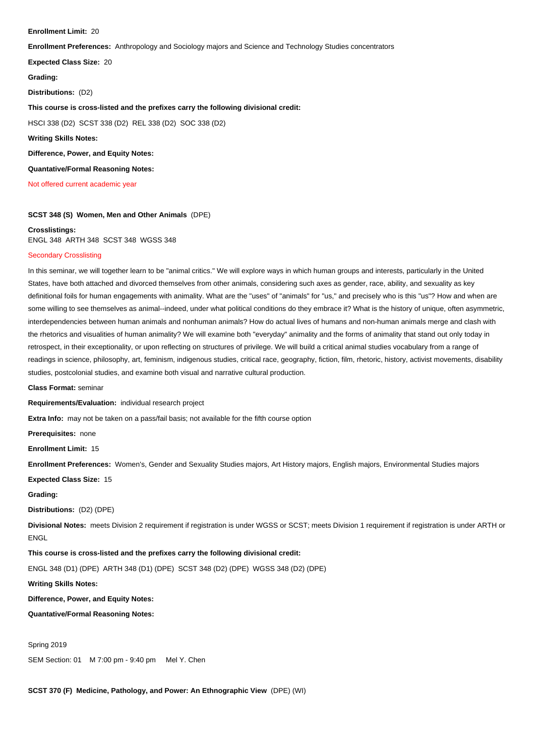#### **Enrollment Limit:** 20

**Enrollment Preferences:** Anthropology and Sociology majors and Science and Technology Studies concentrators

#### **Expected Class Size:** 20

**Grading:** 

**Distributions:** (D2)

## **This course is cross-listed and the prefixes carry the following divisional credit:**

HSCI 338 (D2) SCST 338 (D2) REL 338 (D2) SOC 338 (D2)

**Writing Skills Notes:** 

**Difference, Power, and Equity Notes:** 

**Quantative/Formal Reasoning Notes:** 

Not offered current academic year

### **SCST 348 (S) Women, Men and Other Animals** (DPE)

### **Crosslistings:**

ENGL 348 ARTH 348 SCST 348 WGSS 348

### Secondary Crosslisting

In this seminar, we will together learn to be "animal critics." We will explore ways in which human groups and interests, particularly in the United States, have both attached and divorced themselves from other animals, considering such axes as gender, race, ability, and sexuality as key definitional foils for human engagements with animality. What are the "uses" of "animals" for "us," and precisely who is this "us"? How and when are some willing to see themselves as animal--indeed, under what political conditions do they embrace it? What is the history of unique, often asymmetric, interdependencies between human animals and nonhuman animals? How do actual lives of humans and non-human animals merge and clash with the rhetorics and visualities of human animality? We will examine both "everyday" animality and the forms of animality that stand out only today in retrospect, in their exceptionality, or upon reflecting on structures of privilege. We will build a critical animal studies vocabulary from a range of readings in science, philosophy, art, feminism, indigenous studies, critical race, geography, fiction, film, rhetoric, history, activist movements, disability studies, postcolonial studies, and examine both visual and narrative cultural production.

**Class Format:** seminar

**Requirements/Evaluation:** individual research project

**Extra Info:** may not be taken on a pass/fail basis; not available for the fifth course option

**Prerequisites:** none

**Enrollment Limit:** 15

**Enrollment Preferences:** Women's, Gender and Sexuality Studies majors, Art History majors, English majors, Environmental Studies majors

**Expected Class Size:** 15

**Grading:** 

**Distributions:** (D2) (DPE)

**Divisional Notes:** meets Division 2 requirement if registration is under WGSS or SCST; meets Division 1 requirement if registration is under ARTH or ENGL

**This course is cross-listed and the prefixes carry the following divisional credit:**

ENGL 348 (D1) (DPE) ARTH 348 (D1) (DPE) SCST 348 (D2) (DPE) WGSS 348 (D2) (DPE)

### **Writing Skills Notes:**

**Difference, Power, and Equity Notes:** 

**Quantative/Formal Reasoning Notes:** 

Spring 2019

SEM Section: 01 M 7:00 pm - 9:40 pm Mel Y. Chen

**SCST 370 (F) Medicine, Pathology, and Power: An Ethnographic View** (DPE) (WI)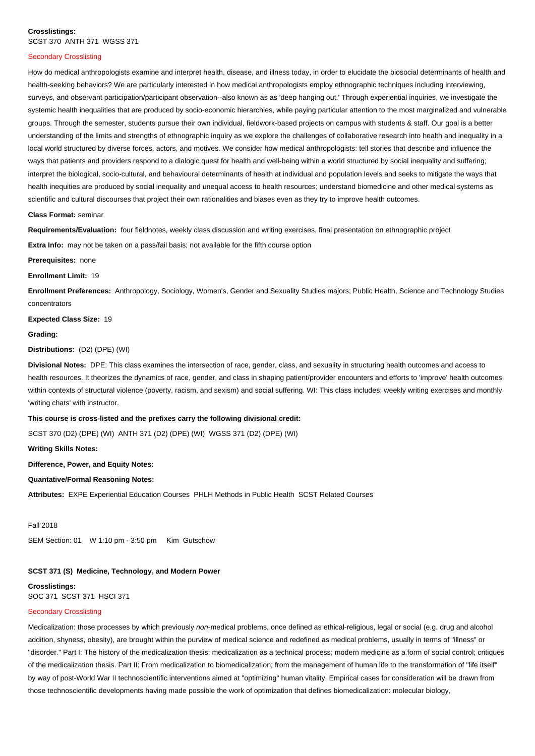### **Crosslistings:**  SCST 370 ANTH 371 WGSS 371

#### Secondary Crosslisting Ĭ

How do medical anthropologists examine and interpret health, disease, and illness today, in order to elucidate the biosocial determinants of health and health-seeking behaviors? We are particularly interested in how medical anthropologists employ ethnographic techniques including interviewing, surveys, and observant participation/participant observation--also known as as 'deep hanging out.' Through experiential inquiries, we investigate the systemic health inequalities that are produced by socio-economic hierarchies, while paying particular attention to the most marginalized and vulnerable groups. Through the semester, students pursue their own individual, fieldwork-based projects on campus with students & staff. Our goal is a better understanding of the limits and strengths of ethnographic inquiry as we explore the challenges of collaborative research into health and inequality in a local world structured by diverse forces, actors, and motives. We consider how medical anthropologists: tell stories that describe and influence the ways that patients and providers respond to a dialogic quest for health and well-being within a world structured by social inequality and suffering; interpret the biological, socio-cultural, and behavioural determinants of health at individual and population levels and seeks to mitigate the ways that health inequities are produced by social inequality and unequal access to health resources; understand biomedicine and other medical systems as scientific and cultural discourses that project their own rationalities and biases even as they try to improve health outcomes.

#### **Class Format:** seminar

**Requirements/Evaluation:** four fieldnotes, weekly class discussion and writing exercises, final presentation on ethnographic project

**Extra Info:** may not be taken on a pass/fail basis; not available for the fifth course option

**Prerequisites:** none

**Enrollment Limit:** 19

**Enrollment Preferences:** Anthropology, Sociology, Women's, Gender and Sexuality Studies majors; Public Health, Science and Technology Studies concentrators

**Expected Class Size:** 19

#### **Grading:**

**Distributions:** (D2) (DPE) (WI)

**Divisional Notes:** DPE: This class examines the intersection of race, gender, class, and sexuality in structuring health outcomes and access to health resources. It theorizes the dynamics of race, gender, and class in shaping patient/provider encounters and efforts to 'improve' health outcomes within contexts of structural violence (poverty, racism, and sexism) and social suffering. WI: This class includes; weekly writing exercises and monthly 'writing chats' with instructor.

# **This course is cross-listed and the prefixes carry the following divisional credit:**

SCST 370 (D2) (DPE) (WI) ANTH 371 (D2) (DPE) (WI) WGSS 371 (D2) (DPE) (WI)

### **Writing Skills Notes:**

**Difference, Power, and Equity Notes:** 

### **Quantative/Formal Reasoning Notes:**

**Attributes:** EXPE Experiential Education Courses PHLH Methods in Public Health SCST Related Courses

### Fall 2018

SEM Section: 01 W 1:10 pm - 3:50 pm Kim Gutschow

# **SCST 371 (S) Medicine, Technology, and Modern Power**

**Crosslistings:**  SOC 371 SCST 371 HSCI 371

# Secondary Crosslisting

Medicalization: those processes by which previously non-medical problems, once defined as ethical-religious, legal or social (e.g. drug and alcohol addition, shyness, obesity), are brought within the purview of medical science and redefined as medical problems, usually in terms of "illness" or "disorder." Part I: The history of the medicalization thesis; medicalization as a technical process; modern medicine as a form of social control; critiques of the medicalization thesis. Part II: From medicalization to biomedicalization; from the management of human life to the transformation of "life itself" by way of post-World War II technoscientific interventions aimed at "optimizing" human vitality. Empirical cases for consideration will be drawn from those technoscientific developments having made possible the work of optimization that defines biomedicalization: molecular biology,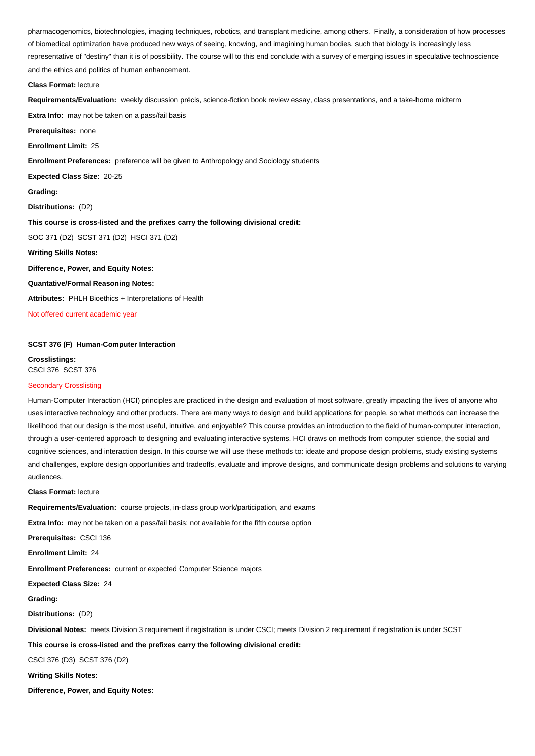pharmacogenomics, biotechnologies, imaging techniques, robotics, and transplant medicine, among others. Finally, a consideration of how processes of biomedical optimization have produced new ways of seeing, knowing, and imagining human bodies, such that biology is increasingly less representative of "destiny" than it is of possibility. The course will to this end conclude with a survey of emerging issues in speculative technoscience and the ethics and politics of human enhancement.

#### **Class Format:** lecture

**Requirements/Evaluation:** weekly discussion précis, science-fiction book review essay, class presentations, and a take-home midterm

**Extra Info:** may not be taken on a pass/fail basis

**Prerequisites:** none

**Enrollment Limit:** 25

**Enrollment Preferences:** preference will be given to Anthropology and Sociology students

**Expected Class Size:** 20-25

**Grading:** 

**Distributions:** (D2)

**This course is cross-listed and the prefixes carry the following divisional credit:**

SOC 371 (D2) SCST 371 (D2) HSCI 371 (D2)

**Writing Skills Notes:** 

**Difference, Power, and Equity Notes:** 

**Quantative/Formal Reasoning Notes:** 

**Attributes:** PHLH Bioethics + Interpretations of Health

Not offered current academic year

### **SCST 376 (F) Human-Computer Interaction**

**Crosslistings:**  CSCI 376 SCST 376

### Secondary Crosslisting

Human-Computer Interaction (HCI) principles are practiced in the design and evaluation of most software, greatly impacting the lives of anyone who uses interactive technology and other products. There are many ways to design and build applications for people, so what methods can increase the likelihood that our design is the most useful, intuitive, and enjoyable? This course provides an introduction to the field of human-computer interaction, through a user-centered approach to designing and evaluating interactive systems. HCI draws on methods from computer science, the social and cognitive sciences, and interaction design. In this course we will use these methods to: ideate and propose design problems, study existing systems and challenges, explore design opportunities and tradeoffs, evaluate and improve designs, and communicate design problems and solutions to varying audiences. Ĭ

#### **Class Format:** lecture

**Requirements/Evaluation:** course projects, in-class group work/participation, and exams

**Extra Info:** may not be taken on a pass/fail basis; not available for the fifth course option

**Prerequisites:** CSCI 136

**Enrollment Limit:** 24

**Enrollment Preferences:** current or expected Computer Science majors

**Expected Class Size:** 24

**Grading:** 

**Distributions:** (D2)

**Divisional Notes:** meets Division 3 requirement if registration is under CSCI; meets Division 2 requirement if registration is under SCST

### **This course is cross-listed and the prefixes carry the following divisional credit:**

CSCI 376 (D3) SCST 376 (D2)

**Writing Skills Notes:** 

**Difference, Power, and Equity Notes:**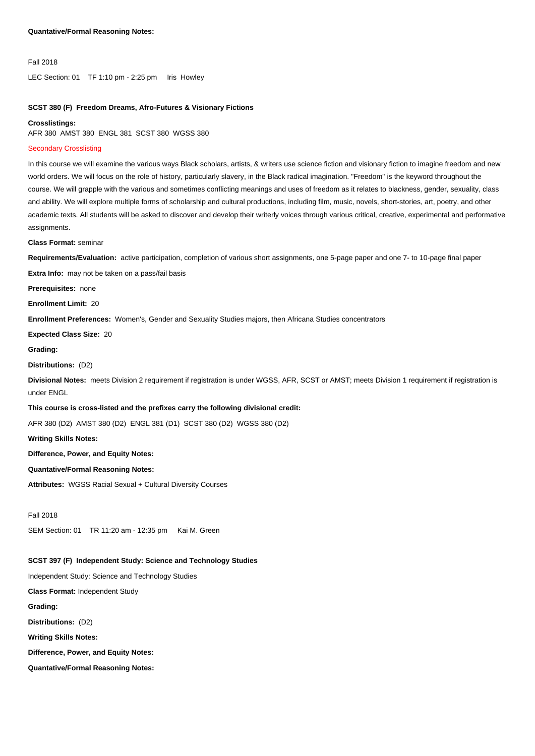#### Fall 2018

LEC Section: 01 TF 1:10 pm - 2:25 pm Iris Howley

# **SCST 380 (F) Freedom Dreams, Afro-Futures & Visionary Fictions**

#### **Crosslistings:**

AFR 380 AMST 380 ENGL 381 SCST 380 WGSS 380

### Secondary Crosslisting

In this course we will examine the various ways Black scholars, artists, & writers use science fiction and visionary fiction to imagine freedom and new world orders. We will focus on the role of history, particularly slavery, in the Black radical imagination. "Freedom" is the keyword throughout the course. We will grapple with the various and sometimes conflicting meanings and uses of freedom as it relates to blackness, gender, sexuality, class and ability. We will explore multiple forms of scholarship and cultural productions, including film, music, novels, short-stories, art, poetry, and other academic texts. All students will be asked to discover and develop their writerly voices through various critical, creative, experimental and performative assignments.

**Class Format:** seminar

**Requirements/Evaluation:** active participation, completion of various short assignments, one 5-page paper and one 7- to 10-page final paper

**Extra Info:** may not be taken on a pass/fail basis

**Prerequisites:** none

**Enrollment Limit:** 20

**Enrollment Preferences:** Women's, Gender and Sexuality Studies majors, then Africana Studies concentrators

**Expected Class Size:** 20

**Grading:** 

#### **Distributions:** (D2)

**Divisional Notes:** meets Division 2 requirement if registration is under WGSS, AFR, SCST or AMST; meets Division 1 requirement if registration is under ENGL

### **This course is cross-listed and the prefixes carry the following divisional credit:**

AFR 380 (D2) AMST 380 (D2) ENGL 381 (D1) SCST 380 (D2) WGSS 380 (D2)

**Writing Skills Notes:** 

**Difference, Power, and Equity Notes:** 

## **Quantative/Formal Reasoning Notes:**

**Attributes:** WGSS Racial Sexual + Cultural Diversity Courses

Fall 2018

SEM Section: 01 TR 11:20 am - 12:35 pm Kai M. Green

### **SCST 397 (F) Independent Study: Science and Technology Studies**

Independent Study: Science and Technology Studies

**Class Format:** Independent Study

**Grading:** 

**Distributions:** (D2)

**Writing Skills Notes:** 

**Difference, Power, and Equity Notes:** 

**Quantative/Formal Reasoning Notes:**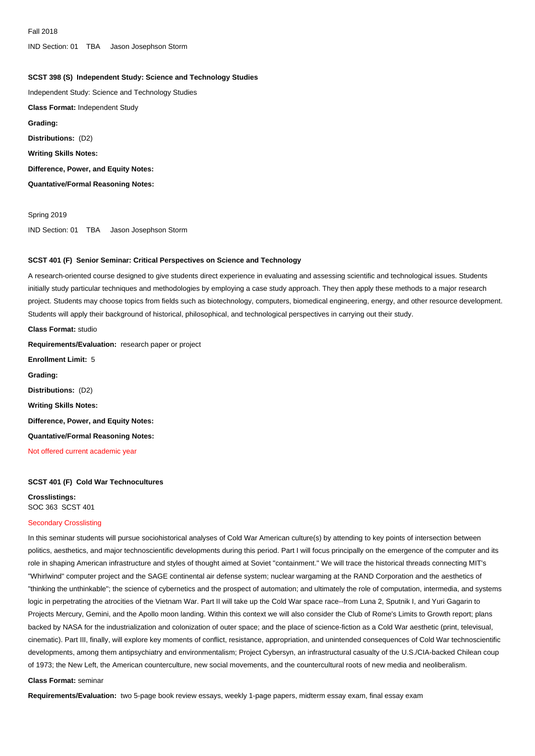IND Section: 01 TBA Jason Josephson Storm

### **SCST 398 (S) Independent Study: Science and Technology Studies**

Independent Study: Science and Technology Studies

**Class Format:** Independent Study

**Grading:** 

**Distributions:** (D2)

**Writing Skills Notes:** 

**Difference, Power, and Equity Notes:** 

**Quantative/Formal Reasoning Notes:** 

Spring 2019 IND Section: 01 TBA Jason Josephson Storm

### **SCST 401 (F) Senior Seminar: Critical Perspectives on Science and Technology**

A research-oriented course designed to give students direct experience in evaluating and assessing scientific and technological issues. Students initially study particular techniques and methodologies by employing a case study approach. They then apply these methods to a major research project. Students may choose topics from fields such as biotechnology, computers, biomedical engineering, energy, and other resource development. Students will apply their background of historical, philosophical, and technological perspectives in carrying out their study.

**Class Format:** studio **Requirements/Evaluation:** research paper or project **Enrollment Limit:** 5 **Grading: Distributions:** (D2) **Writing Skills Notes: Difference, Power, and Equity Notes: Quantative/Formal Reasoning Notes:**  Not offered current academic year

### **SCST 401 (F) Cold War Technocultures**

**Crosslistings:**  SOC 363 SCST 401

### Secondary Crosslisting

In this seminar students will pursue sociohistorical analyses of Cold War American culture(s) by attending to key points of intersection between politics, aesthetics, and major technoscientific developments during this period. Part I will focus principally on the emergence of the computer and its role in shaping American infrastructure and styles of thought aimed at Soviet "containment." We will trace the historical threads connecting MIT's "Whirlwind" computer project and the SAGE continental air defense system; nuclear wargaming at the RAND Corporation and the aesthetics of "thinking the unthinkable"; the science of cybernetics and the prospect of automation; and ultimately the role of computation, intermedia, and systems logic in perpetrating the atrocities of the Vietnam War. Part II will take up the Cold War space race--from Luna 2, Sputnik I, and Yuri Gagarin to Projects Mercury, Gemini, and the Apollo moon landing. Within this context we will also consider the Club of Rome's Limits to Growth report; plans backed by NASA for the industrialization and colonization of outer space; and the place of science-fiction as a Cold War aesthetic (print, televisual, cinematic). Part III, finally, will explore key moments of conflict, resistance, appropriation, and unintended consequences of Cold War technoscientific developments, among them antipsychiatry and environmentalism; Project Cybersyn, an infrastructural casualty of the U.S./CIA-backed Chilean coup of 1973; the New Left, the American counterculture, new social movements, and the countercultural roots of new media and neoliberalism.

#### **Class Format:** seminar

**Requirements/Evaluation:** two 5-page book review essays, weekly 1-page papers, midterm essay exam, final essay exam